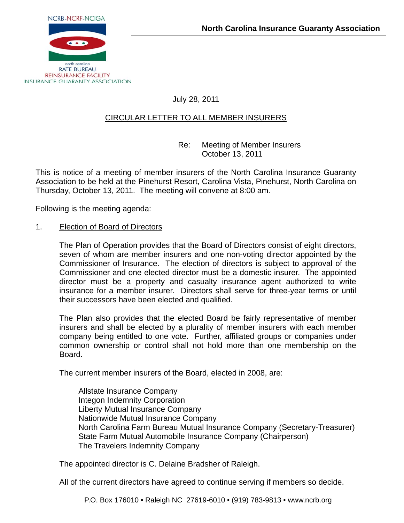

# July 28, 2011

# CIRCULAR LETTER TO ALL MEMBER INSURERS

 Re: Meeting of Member Insurers October 13, 2011

This is notice of a meeting of member insurers of the North Carolina Insurance Guaranty Association to be held at the Pinehurst Resort, Carolina Vista, Pinehurst, North Carolina on Thursday, October 13, 2011. The meeting will convene at 8:00 am.

Following is the meeting agenda:

## 1. Election of Board of Directors

The Plan of Operation provides that the Board of Directors consist of eight directors, seven of whom are member insurers and one non-voting director appointed by the Commissioner of Insurance. The election of directors is subject to approval of the Commissioner and one elected director must be a domestic insurer. The appointed director must be a property and casualty insurance agent authorized to write insurance for a member insurer. Directors shall serve for three-year terms or until their successors have been elected and qualified.

The Plan also provides that the elected Board be fairly representative of member insurers and shall be elected by a plurality of member insurers with each member company being entitled to one vote. Further, affiliated groups or companies under common ownership or control shall not hold more than one membership on the Board.

The current member insurers of the Board, elected in 2008, are:

 Allstate Insurance Company Integon Indemnity Corporation Liberty Mutual Insurance Company Nationwide Mutual Insurance Company North Carolina Farm Bureau Mutual Insurance Company (Secretary-Treasurer) State Farm Mutual Automobile Insurance Company (Chairperson) The Travelers Indemnity Company

The appointed director is C. Delaine Bradsher of Raleigh.

All of the current directors have agreed to continue serving if members so decide.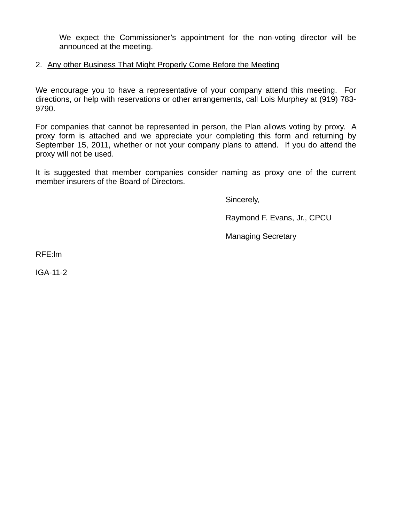We expect the Commissioner's appointment for the non-voting director will be announced at the meeting.

## 2. Any other Business That Might Properly Come Before the Meeting

We encourage you to have a representative of your company attend this meeting. For directions, or help with reservations or other arrangements, call Lois Murphey at (919) 783- 9790.

For companies that cannot be represented in person, the Plan allows voting by proxy. A proxy form is attached and we appreciate your completing this form and returning by September 15, 2011, whether or not your company plans to attend. If you do attend the proxy will not be used.

It is suggested that member companies consider naming as proxy one of the current member insurers of the Board of Directors.

Sincerely,

Raymond F. Evans, Jr., CPCU

Managing Secretary

RFE:lm

IGA-11-2